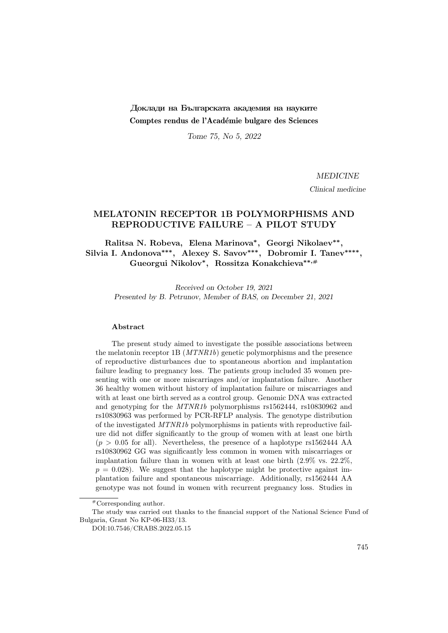# Доклади на Българската академия на науките Comptes rendus de l'Académie bulgare des Sciences

Tome 75, No 5, 2022

MEDICINE

Clinical medicine

## MELATONIN RECEPTOR 1B POLYMORPHISMS AND REPRODUCTIVE FAILURE – A PILOT STUDY

Ralitsa N. Robeva, Elena Marinova<sup>\*</sup>, Georgi Nikolaev<sup>\*\*</sup>, Silvia I. Andonova<sup>\*\*\*</sup>, Alexey S. Savov<sup>\*\*\*</sup>, Dobromir I. Tanev<sup>\*\*\*\*</sup>, Gueorgui Nikolov<sup>∗</sup> , Rossitza Konakchieva∗∗,#

Received on October 19, 2021 Presented by B. Petrunov, Member of BAS, on December 21, 2021

#### Abstract

The present study aimed to investigate the possible associations between the melatonin receptor 1B (MTNR1b) genetic polymorphisms and the presence of reproductive disturbances due to spontaneous abortion and implantation failure leading to pregnancy loss. The patients group included 35 women presenting with one or more miscarriages and/or implantation failure. Another 36 healthy women without history of implantation failure or miscarriages and with at least one birth served as a control group. Genomic DNA was extracted and genotyping for the MTNR1b polymorphisms rs1562444, rs10830962 and rs10830963 was performed by PCR-RFLP analysis. The genotype distribution of the investigated MTNR1b polymorphisms in patients with reproductive failure did not differ significantly to the group of women with at least one birth  $(p > 0.05$  for all). Nevertheless, the presence of a haplotype rs1562444 AA rs10830962 GG was significantly less common in women with miscarriages or implantation failure than in women with at least one birth (2.9% vs. 22.2%,  $p = 0.028$ . We suggest that the haplotype might be protective against implantation failure and spontaneous miscarriage. Additionally, rs1562444 AA genotype was not found in women with recurrent pregnancy loss. Studies in

#Corresponding author.

The study was carried out thanks to the financial support of the National Science Fund of Bulgaria, Grant No KP-06-H33/13.

DOI:10.7546/CRABS.2022.05.15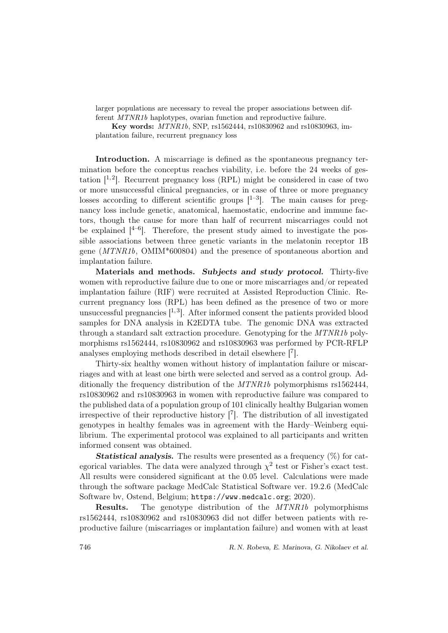larger populations are necessary to reveal the proper associations between different MTNR1b haplotypes, ovarian function and reproductive failure.

Key words: MTNR1b, SNP, rs1562444, rs10830962 and rs10830963, implantation failure, recurrent pregnancy loss

Introduction. A miscarriage is defined as the spontaneous pregnancy termination before the conceptus reaches viability, i.e. before the 24 weeks of gestation  $[1, 2]$ . Recurrent pregnancy loss (RPL) might be considered in case of two or more unsuccessful clinical pregnancies, or in case of three or more pregnancy losses according to different scientific groups  $[1-3]$ . The main causes for pregnancy loss include genetic, anatomical, haemostatic, endocrine and immune factors, though the cause for more than half of recurrent miscarriages could not be explained  $[4-6]$ . Therefore, the present study aimed to investigate the possible associations between three genetic variants in the melatonin receptor 1B gene (MTNR1b, OMIM\*600804) and the presence of spontaneous abortion and implantation failure.

Materials and methods. Subjects and study protocol. Thirty-five women with reproductive failure due to one or more miscarriages and/or repeated implantation failure (RIF) were recruited at Assisted Reproduction Clinic. Recurrent pregnancy loss (RPL) has been defined as the presence of two or more unsuccessful pregnancies  $\left[1,3\right]$ . After informed consent the patients provided blood samples for DNA analysis in K2EDTA tube. The genomic DNA was extracted through a standard salt extraction procedure. Genotyping for the MTNR1b polymorphisms rs1562444, rs10830962 and rs10830963 was performed by PCR-RFLP analyses employing methods described in detail elsewhere [<sup>7</sup> ].

Thirty-six healthy women without history of implantation failure or miscarriages and with at least one birth were selected and served as a control group. Additionally the frequency distribution of the MTNR1b polymorphisms rs1562444, rs10830962 and rs10830963 in women with reproductive failure was compared to the published data of a population group of 101 clinically healthy Bulgarian women irrespective of their reproductive history  $\begin{bmatrix} 7 \end{bmatrix}$ . The distribution of all investigated genotypes in healthy females was in agreement with the Hardy–Weinberg equilibrium. The experimental protocol was explained to all participants and written informed consent was obtained.

**Statistical analysis.** The results were presented as a frequency  $(\%)$  for categorical variables. The data were analyzed through  $\chi^2$  test or Fisher's exact test. All results were considered significant at the 0.05 level. Calculations were made through the software package MedCalc Statistical Software ver. 19.2.6 (MedCalc Software bv, Ostend, Belgium; https://www.medcalc.org; 2020).

Results. The genotype distribution of the MTNR1b polymorphisms rs1562444, rs10830962 and rs10830963 did not differ between patients with reproductive failure (miscarriages or implantation failure) and women with at least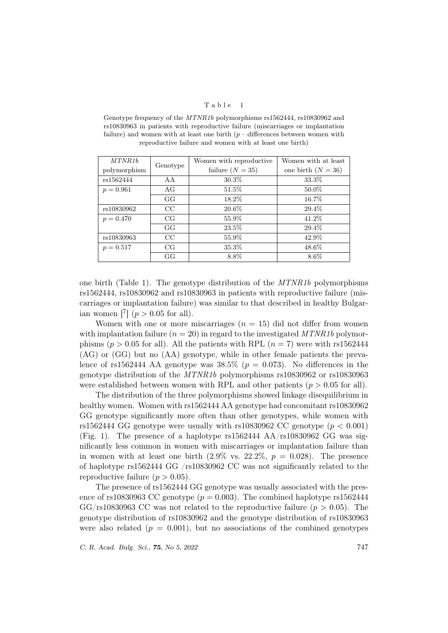#### Table 1

MTNR1b polymorphism Genotype Women with reproductive failure  $(N = 35)$ Women with at least one birth  $(N = 36)$ rs1562444 | AA | 30.3% | 33.3%  $p = 0.961$  AG 51.5% 50.0% GG 18.2% 16.7% rs10830962 CC 20.6% 29.4%  $p = 0.470$  CG 55.9% 41.2% GG 23.5% 29.4% rs10830963 CC 55.9% 42.9%  $p = 0.517$  CG 35.3% 48.6% GG  $8.8\%$  8.6%

Genotype frequency of the MTNR1b polymorphisms rs1562444, rs10830962 and rs10830963 in patients with reproductive failure (miscarriages or implantation failure) and women with at least one birth  $(p -$  differences between women with reproductive failure and women with at least one birth)

one birth (Table 1). The genotype distribution of the  $MTNR1b$  polymorphisms rs1562444, rs10830962 and rs10830963 in patients with reproductive failure (miscarriages or implantation failure) was similar to that described in healthy Bulgarian women  $\begin{bmatrix} 7 \\ 4 \end{bmatrix}$  ( $p > 0.05$  for all).

Women with one or more miscarriages  $(n = 15)$  did not differ from women with implantation failure  $(n = 20)$  in regard to the investigated MTNR1b polymorphisms ( $p > 0.05$  for all). All the patients with RPL ( $n = 7$ ) were with rs1562444 (AG) or (GG) but no (AA) genotype, while in other female patients the prevalence of rs1562444 AA genotype was  $38.5\%$  ( $p = 0.073$ ). No differences in the genotype distribution of the MTNR1b polymorphisms rs10830962 or rs10830963 were established between women with RPL and other patients  $(p > 0.05$  for all).

The distribution of the three polymorphisms showed linkage disequilibrium in healthy women. Women with rs1562444 AA genotype had concomitant rs10830962 GG genotype significantly more often than other genotypes, while women with rs1562444 GG genotype were usually with rs10830962 CC genotype ( $p < 0.001$ ) (Fig. 1). The presence of a haplotype rs1562444 AA/rs10830962 GG was significantly less common in women with miscarriages or implantation failure than in women with at least one birth  $(2.9\% \text{ vs. } 22.2\%, p = 0.028)$ . The presence of haplotype rs1562444 GG /rs10830962 CC was not significantly related to the reproductive failure  $(p > 0.05)$ .

The presence of rs1562444 GG genotype was usually associated with the presence of rs10830963 CC genotype  $(p = 0.003)$ . The combined haplotype rs1562444  $GG/rs10830963$  CC was not related to the reproductive failure  $(p > 0.05)$ . The genotype distribution of rs10830962 and the genotype distribution of rs10830963 were also related  $(p = 0.001)$ , but no associations of the combined genotypes

C. R. Acad. Bulg. Sci., **75**, No 5, 2022 747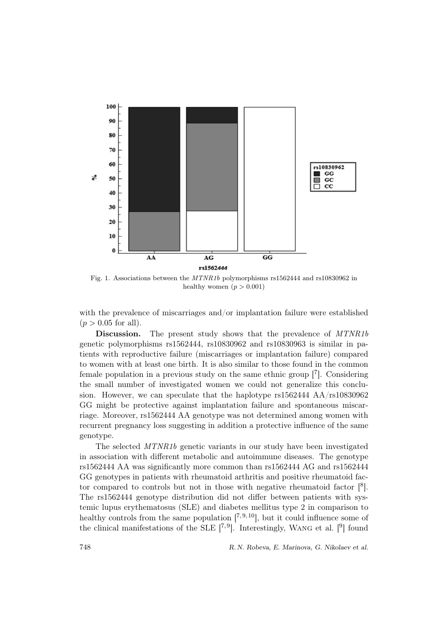

Fig. 1. Associations between the MTNR1b polymorphisms rs1562444 and rs10830962 in healthy women  $(p > 0.001)$ 

with the prevalence of miscarriages and/or implantation failure were established  $(p > 0.05$  for all).

Discussion. The present study shows that the prevalence of MTNR1b genetic polymorphisms rs1562444, rs10830962 and rs10830963 is similar in patients with reproductive failure (miscarriages or implantation failure) compared to women with at least one birth. It is also similar to those found in the common female population in a previous study on the same ethnic group [<sup>7</sup> ]. Considering the small number of investigated women we could not generalize this conclusion. However, we can speculate that the haplotype rs1562444 AA/rs10830962 GG might be protective against implantation failure and spontaneous miscarriage. Moreover, rs1562444 AA genotype was not determined among women with recurrent pregnancy loss suggesting in addition a protective influence of the same genotype.

The selected MTNR1b genetic variants in our study have been investigated in association with different metabolic and autoimmune diseases. The genotype rs1562444 AA was significantly more common than rs1562444 AG and rs1562444 GG genotypes in patients with rheumatoid arthritis and positive rheumatoid factor compared to controls but not in those with negative rheumatoid factor  $[8]$ . The rs1562444 genotype distribution did not differ between patients with systemic lupus erythematosus (SLE) and diabetes mellitus type 2 in comparison to healthy controls from the same population  $[7,9,10]$ , but it could influence some of the clinical manifestations of the SLE  $[7,9]$ . Interestingly, WANG et al.  $[9]$  found

748 R. N. Robeva, E. Marinova, G. Nikolaev et al.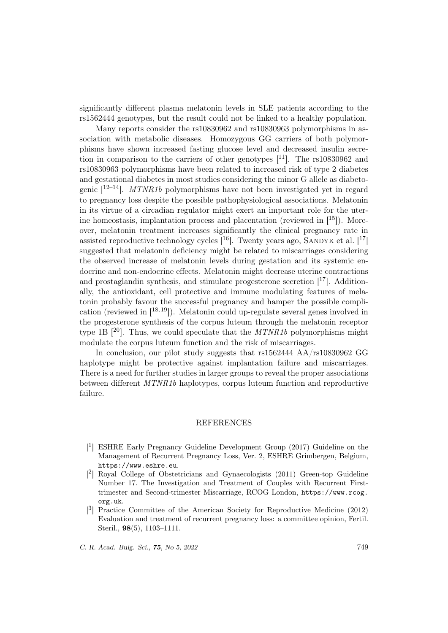significantly different plasma melatonin levels in SLE patients according to the rs1562444 genotypes, but the result could not be linked to a healthy population.

Many reports consider the rs10830962 and rs10830963 polymorphisms in association with metabolic diseases. Homozygous GG carriers of both polymorphisms have shown increased fasting glucose level and decreased insulin secretion in comparison to the carriers of other genotypes  $[11]$ . The rs10830962 and rs10830963 polymorphisms have been related to increased risk of type 2 diabetes and gestational diabetes in most studies considering the minor G allele as diabetogenic  $[12-14]$ . MTNR1b polymorphisms have not been investigated yet in regard to pregnancy loss despite the possible pathophysiological associations. Melatonin in its virtue of a circadian regulator might exert an important role for the uterine homeostasis, implantation process and placentation (reviewed in  $[15]$ ). Moreover, melatonin treatment increases significantly the clinical pregnancy rate in assisted reproductive technology cycles  $\tilde{I}^{16}$ . Twenty years ago, SANDYK et al.  $\tilde{I}^{17}$ suggested that melatonin deficiency might be related to miscarriages considering the observed increase of melatonin levels during gestation and its systemic endocrine and non-endocrine effects. Melatonin might decrease uterine contractions and prostaglandin synthesis, and stimulate progesterone secretion  $[17]$ . Additionally, the antioxidant, cell protective and immune modulating features of melatonin probably favour the successful pregnancy and hamper the possible complication (reviewed in  $[18, 19]$ ). Melatonin could up-regulate several genes involved in the progesterone synthesis of the corpus luteum through the melatonin receptor type 1B  $[{}^{20}]$ . Thus, we could speculate that the *MTNR1b* polymorphisms might modulate the corpus luteum function and the risk of miscarriages.

In conclusion, our pilot study suggests that rs1562444 AA/rs10830962 GG haplotype might be protective against implantation failure and miscarriages. There is a need for further studies in larger groups to reveal the proper associations between different MTNR1b haplotypes, corpus luteum function and reproductive failure.

### REFERENCES

- [ 1 ] ESHRE Early Pregnancy Guideline Development Group (2017) Guideline on the Management of Recurrent Pregnancy Loss, Ver. 2, ESHRE Grimbergen, Belgium, https://www.eshre.eu.
- [ 2 ] Royal College of Obstetricians and Gynaecologists (2011) Green-top Guideline Number 17. The Investigation and Treatment of Couples with Recurrent Firsttrimester and Second-trimester Miscarriage, RCOG London, https://www.rcog. org.uk.
- [<sup>3</sup>] Practice Committee of the American Society for Reproductive Medicine (2012) Evaluation and treatment of recurrent pregnancy loss: a committee opinion, Fertil. Steril., 98(5), 1103–1111.

C. R. Acad. Bulg. Sci., **75**, No 5, 2022 749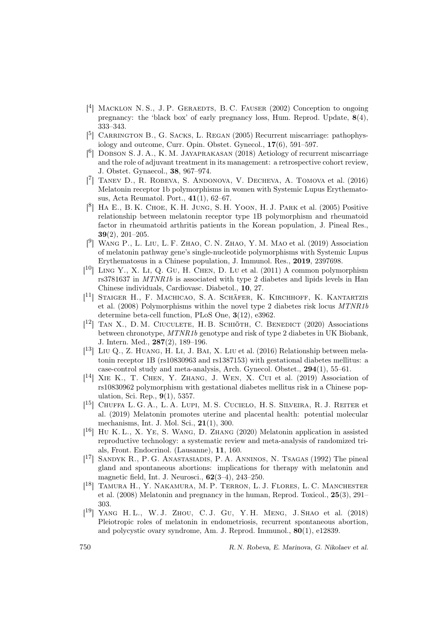- [<sup>4</sup>] MACKLON N.S., J.P. GERAEDTS, B.C. FAUSER (2002) Conception to ongoing pregnancy: the 'black box' of early pregnancy loss, Hum. Reprod. Update, 8(4), 333–343.
- [<sup>5</sup>] CARRINGTON B., G. SACKS, L. REGAN (2005) Recurrent miscarriage: pathophysiology and outcome, Curr. Opin. Obstet. Gynecol., 17(6), 591–597.
- [<sup>6</sup>] DOBSON S. J. A., K. M. JAYAPRAKASAN (2018) Aetiology of recurrent miscarriage and the role of adjuvant treatment in its management: a retrospective cohort review, J. Obstet. Gynaecol., 38, 967–974.
- [ 7 ] Tanev D., R. Robeva, S. Andonova, V. Decheva, A. Tomova et al. (2016) Melatonin receptor 1b polymorphisms in women with Systemic Lupus Erythematosus, Acta Reumatol. Port., 41(1), 62–67.
- $[8]$  HA E., B. K. CHOE, K. H. JUNG, S. H. YOON, H. J. PARK et al. (2005) Positive relationship between melatonin receptor type 1B polymorphism and rheumatoid factor in rheumatoid arthritis patients in the Korean population, J. Pineal Res., 39(2), 201–205.
- $[$ <sup>9</sup>] WANG P., L. LIU, L. F. ZHAO, C. N. ZHAO, Y. M. MAO et al. (2019) Association of melatonin pathway gene's single-nucleotide polymorphisms with Systemic Lupus Erythematosus in a Chinese population, J. Immunol. Res., 2019, 2397698.
- $[$ <sup>10</sup> $]$  Ling Y., X. Li, Q. Gu, H. CHEN, D. Lu et al. (2011) A common polymorphism rs3781637 in MTNR1b is associated with type 2 diabetes and lipids levels in Han Chinese individuals, Cardiovasc. Diabetol., 10, 27.
- [<sup>11</sup>] STAIGER H., F. MACHICAO, S.A. SCHÄFER, K. KIRCHHOFF, K. KANTARTZIS et al. (2008) Polymorphisms within the novel type 2 diabetes risk locus MTNR1b determine beta-cell function, PLoS One, 3(12), e3962.
- $[$ <sup>12</sup>] TAN X., D. M. CIUCULETE, H. B. SCHIOTH, C. BENEDICT (2020) Associations between chronotype, MTNR1b genotype and risk of type 2 diabetes in UK Biobank, J. Intern. Med., 287(2), 189–196.
- [<sup>13</sup>] LIU Q., Z. HUANG, H. LI, J. BAI, X. LIU et al. (2016) Relationship between melatonin receptor 1B (rs10830963 and rs1387153) with gestational diabetes mellitus: a case-control study and meta-analysis, Arch. Gynecol. Obstet., 294(1), 55–61.
- $[$ <sup>14</sup> $]$  XIE K., T. CHEN, Y. ZHANG, J. WEN, X. CUI et al.  $(2019)$  Association of rs10830962 polymorphism with gestational diabetes mellitus risk in a Chinese population, Sci. Rep., 9(1), 5357.
- [<sup>15</sup>] CHUFFA L. G. A., L. A. LUPI, M. S. CUCIELO, H. S. SILVEIRA, R. J. REITER et al. (2019) Melatonin promotes uterine and placental health: potential molecular mechanisms, Int. J. Mol. Sci., 21(1), 300.
- $[$ <sup>16</sup> $]$  HU K. L., X. YE, S. WANG, D. ZHANG (2020) Melatonin application in assisted reproductive technology: a systematic review and meta-analysis of randomized trials, Front. Endocrinol. (Lausanne), 11, 160.
- [ <sup>17</sup>] Sandyk R., P. G. Anastasiadis, P. A. Anninos, N. Tsagas (1992) The pineal gland and spontaneous abortions: implications for therapy with melatonin and magnetic field, Int. J. Neurosci., 62(3–4), 243–250.
- [<sup>18</sup>] TAMURA H., Y. NAKAMURA, M. P. TERRON, L. J. FLORES, L. C. MANCHESTER et al. (2008) Melatonin and pregnancy in the human, Reprod. Toxicol., 25(3), 291– 303.
- [ <sup>19</sup>] Yang H. L., W. J. Zhou, C. J. Gu, Y. H. Meng, J. Shao et al. (2018) Pleiotropic roles of melatonin in endometriosis, recurrent spontaneous abortion, and polycystic ovary syndrome, Am. J. Reprod. Immunol., 80(1), e12839.

750 R. N. Robeva, E. Marinova, G. Nikolaev et al.